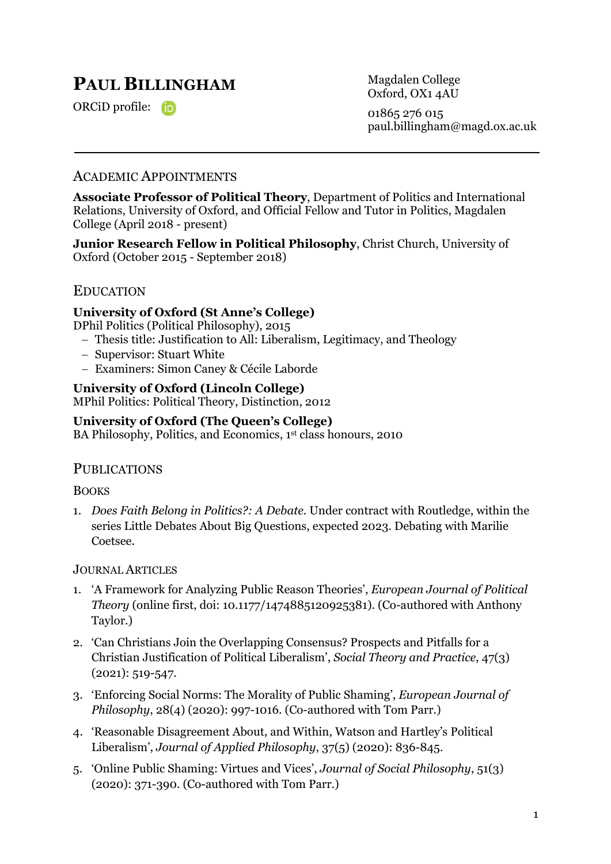# **PAUL BILLINGHAM**

ORCiD profile:

Magdalen College Oxford, OX1 4AU 01865 276 015 paul.billingham@magd.ox.ac.uk

# ACADEMIC APPOINTMENTS

**Associate Professor of Political Theory**, Department of Politics and International Relations, University of Oxford, and Official Fellow and Tutor in Politics, Magdalen College (April 2018 - present)

**Junior Research Fellow in Political Philosophy**, Christ Church, University of Oxford (October 2015 - September 2018)

### EDUCATION

#### **University of Oxford (St Anne's College)**

DPhil Politics (Political Philosophy), 2015

- Thesis title: Justification to All: Liberalism, Legitimacy, and Theology
- Supervisor: Stuart White
- Examiners: Simon Caney & Cécile Laborde

#### **University of Oxford (Lincoln College)**

MPhil Politics: Political Theory, Distinction, 2012

### **University of Oxford (The Queen's College)**

BA Philosophy, Politics, and Economics, 1<sup>st</sup> class honours, 2010

#### **PUBLICATIONS**

**BOOKS** 

1. *Does Faith Belong in Politics?: A Debate.* Under contract with Routledge, within the series Little Debates About Big Questions, expected 2023. Debating with Marilie Coetsee.

#### JOURNAL ARTICLES

- 1. 'A Framework for Analyzing Public Reason Theories', *European Journal of Political Theory* (online first, doi: 10.1177/1474885120925381). (Co-authored with Anthony Taylor.)
- 2. 'Can Christians Join the Overlapping Consensus? Prospects and Pitfalls for a Christian Justification of Political Liberalism', *Social Theory and Practice*, 47(3) (2021): 519-547.
- 3. 'Enforcing Social Norms: The Morality of Public Shaming', *European Journal of Philosophy*, 28(4) (2020): 997-1016. (Co-authored with Tom Parr.)
- 4. 'Reasonable Disagreement About, and Within, Watson and Hartley's Political Liberalism', *Journal of Applied Philosophy*, 37(5) (2020): 836-845.
- 5. 'Online Public Shaming: Virtues and Vices', *Journal of Social Philosophy*, 51(3) (2020): 371-390. (Co-authored with Tom Parr.)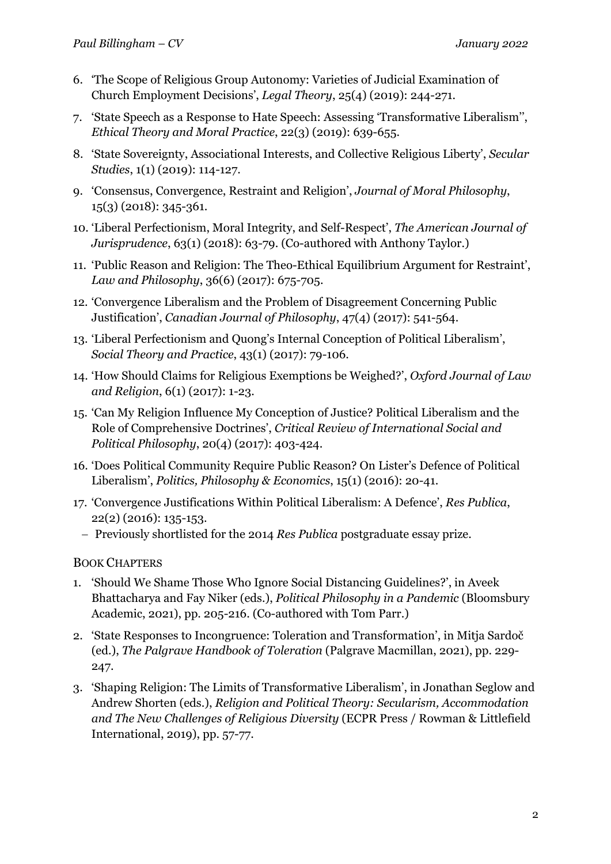- 6. 'The Scope of Religious Group Autonomy: Varieties of Judicial Examination of Church Employment Decisions', *Legal Theory*, 25(4) (2019): 244-271.
- 7. 'State Speech as a Response to Hate Speech: Assessing 'Transformative Liberalism'', *Ethical Theory and Moral Practice*, 22(3) (2019): 639-655.
- 8. 'State Sovereignty, Associational Interests, and Collective Religious Liberty', *Secular Studies*, 1(1) (2019): 114-127.
- 9. 'Consensus, Convergence, Restraint and Religion', *Journal of Moral Philosophy*, 15(3) (2018): 345-361.
- 10. 'Liberal Perfectionism, Moral Integrity, and Self-Respect', *The American Journal of Jurisprudence*, 63(1) (2018): 63-79. (Co-authored with Anthony Taylor.)
- 11. 'Public Reason and Religion: The Theo-Ethical Equilibrium Argument for Restraint', *Law and Philosophy*, 36(6) (2017): 675-705.
- 12. 'Convergence Liberalism and the Problem of Disagreement Concerning Public Justification', *Canadian Journal of Philosophy*, 47(4) (2017): 541-564.
- 13. 'Liberal Perfectionism and Quong's Internal Conception of Political Liberalism', *Social Theory and Practice*, 43(1) (2017): 79-106.
- 14. 'How Should Claims for Religious Exemptions be Weighed?', *Oxford Journal of Law and Religion*, 6(1) (2017): 1-23.
- 15. 'Can My Religion Influence My Conception of Justice? Political Liberalism and the Role of Comprehensive Doctrines', *Critical Review of International Social and Political Philosophy*, 20(4) (2017): 403-424.
- 16. 'Does Political Community Require Public Reason? On Lister's Defence of Political Liberalism', *Politics, Philosophy & Economics*, 15(1) (2016): 20-41.
- 17. 'Convergence Justifications Within Political Liberalism: A Defence', *Res Publica*, 22(2) (2016): 135-153.
	- Previously shortlisted for the 2014 *Res Publica* postgraduate essay prize.

# BOOK CHAPTERS

- 1. 'Should We Shame Those Who Ignore Social Distancing Guidelines?', in Aveek Bhattacharya and Fay Niker (eds.), *Political Philosophy in a Pandemic* (Bloomsbury Academic, 2021), pp. 205-216. (Co-authored with Tom Parr.)
- 2. 'State Responses to Incongruence: Toleration and Transformation', in Mitja Sardoč (ed.), *The Palgrave Handbook of Toleration* (Palgrave Macmillan, 2021), pp. 229- 247.
- 3. 'Shaping Religion: The Limits of Transformative Liberalism', in Jonathan Seglow and Andrew Shorten (eds.), *Religion and Political Theory: Secularism, Accommodation and The New Challenges of Religious Diversity* (ECPR Press / Rowman & Littlefield International, 2019), pp. 57-77.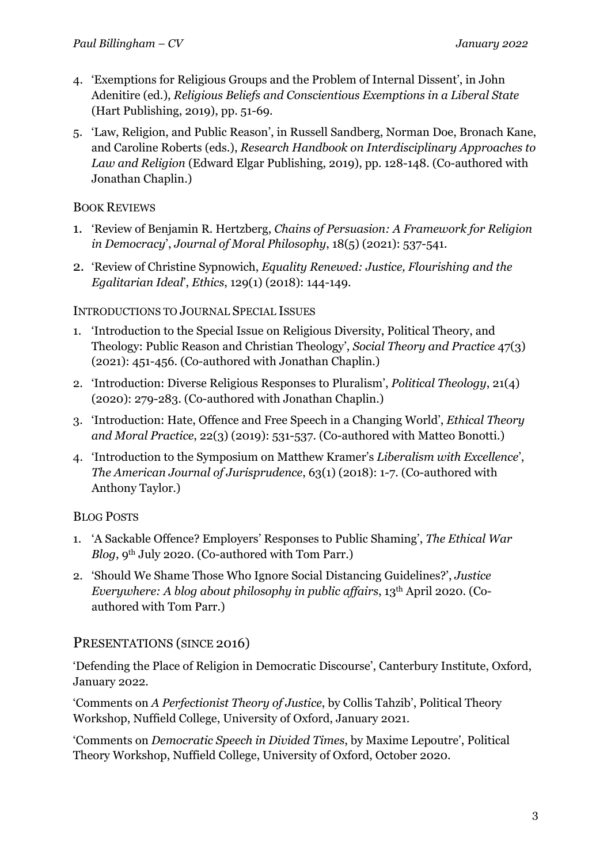- 4. 'Exemptions for Religious Groups and the Problem of Internal Dissent', in John Adenitire (ed.), *Religious Beliefs and Conscientious Exemptions in a Liberal State*  (Hart Publishing, 2019), pp. 51-69.
- 5. 'Law, Religion, and Public Reason', in Russell Sandberg, Norman Doe, Bronach Kane, and Caroline Roberts (eds.), *Research Handbook on Interdisciplinary Approaches to Law and Religion* (Edward Elgar Publishing, 2019), pp. 128-148. (Co-authored with Jonathan Chaplin.)

# BOOK REVIEWS

- 1. 'Review of Benjamin R. Hertzberg, *Chains of Persuasion: A Framework for Religion in Democracy*', *Journal of Moral Philosophy*, 18(5) (2021): 537-541.
- 2. 'Review of Christine Sypnowich, *Equality Renewed: Justice, Flourishing and the Egalitarian Ideal*', *Ethics*, 129(1) (2018): 144-149.

# INTRODUCTIONS TO JOURNAL SPECIAL ISSUES

- 1. 'Introduction to the Special Issue on Religious Diversity, Political Theory, and Theology: Public Reason and Christian Theology', *Social Theory and Practice* 47(3) (2021): 451-456. (Co-authored with Jonathan Chaplin.)
- 2. 'Introduction: Diverse Religious Responses to Pluralism', *Political Theology*, 21(4) (2020): 279-283. (Co-authored with Jonathan Chaplin.)
- 3. 'Introduction: Hate, Offence and Free Speech in a Changing World', *Ethical Theory and Moral Practice*, 22(3) (2019): 531-537. (Co-authored with Matteo Bonotti.)
- 4. 'Introduction to the Symposium on Matthew Kramer's *Liberalism with Excellence*', *The American Journal of Jurisprudence*, 63(1) (2018): 1-7. (Co-authored with Anthony Taylor.)

# BLOG POSTS

- 1. 'A Sackable Offence? Employers' Responses to Public Shaming', *The Ethical War Blog*, 9<sup>th</sup> July 2020. (Co-authored with Tom Parr.)
- 2. 'Should We Shame Those Who Ignore Social Distancing Guidelines?', *Justice Everywhere: A blog about philosophy in public affairs*, 13th April 2020. (Coauthored with Tom Parr.)

# PRESENTATIONS (SINCE 2016)

'Defending the Place of Religion in Democratic Discourse', Canterbury Institute, Oxford, January 2022.

'Comments on *A Perfectionist Theory of Justice*, by Collis Tahzib', Political Theory Workshop, Nuffield College, University of Oxford, January 2021.

'Comments on *Democratic Speech in Divided Times*, by Maxime Lepoutre', Political Theory Workshop, Nuffield College, University of Oxford, October 2020.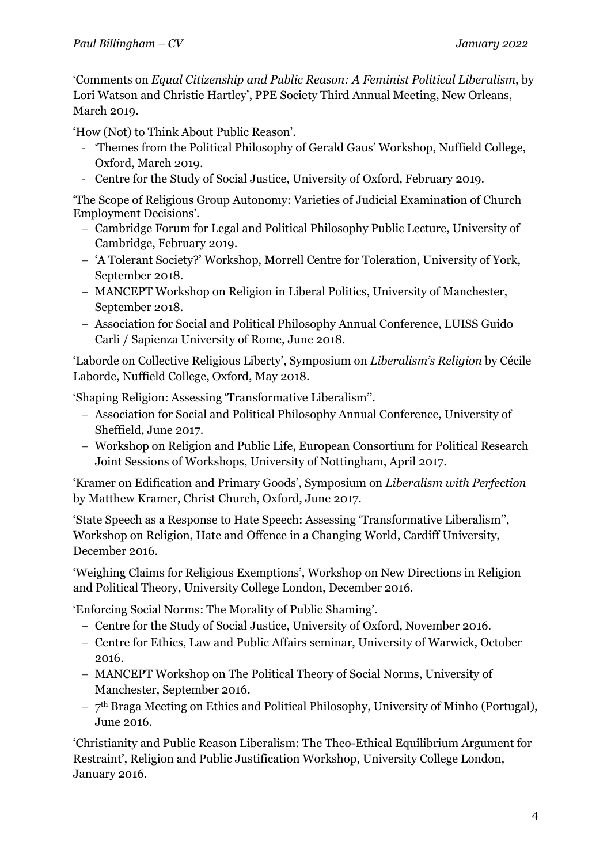'Comments on *Equal Citizenship and Public Reason: A Feminist Political Liberalism*, by Lori Watson and Christie Hartley', PPE Society Third Annual Meeting, New Orleans, March 2019.

'How (Not) to Think About Public Reason'.

- 'Themes from the Political Philosophy of Gerald Gaus' Workshop, Nuffield College, Oxford, March 2019.
- Centre for the Study of Social Justice, University of Oxford, February 2019.

'The Scope of Religious Group Autonomy: Varieties of Judicial Examination of Church Employment Decisions'.

- Cambridge Forum for Legal and Political Philosophy Public Lecture, University of Cambridge, February 2019.
- 'A Tolerant Society?' Workshop, Morrell Centre for Toleration, University of York, September 2018.
- MANCEPT Workshop on Religion in Liberal Politics, University of Manchester, September 2018.
- Association for Social and Political Philosophy Annual Conference, LUISS Guido Carli / Sapienza University of Rome, June 2018.

'Laborde on Collective Religious Liberty', Symposium on *Liberalism's Religion* by Cécile Laborde, Nuffield College, Oxford, May 2018.

'Shaping Religion: Assessing 'Transformative Liberalism''.

- Association for Social and Political Philosophy Annual Conference, University of Sheffield, June 2017.
- Workshop on Religion and Public Life, European Consortium for Political Research Joint Sessions of Workshops, University of Nottingham, April 2017.

'Kramer on Edification and Primary Goods', Symposium on *Liberalism with Perfection*  by Matthew Kramer, Christ Church, Oxford, June 2017.

'State Speech as a Response to Hate Speech: Assessing 'Transformative Liberalism'', Workshop on Religion, Hate and Offence in a Changing World, Cardiff University, December 2016.

'Weighing Claims for Religious Exemptions', Workshop on New Directions in Religion and Political Theory, University College London, December 2016.

'Enforcing Social Norms: The Morality of Public Shaming'.

- Centre for the Study of Social Justice, University of Oxford, November 2016.
- Centre for Ethics, Law and Public Affairs seminar, University of Warwick, October 2016.
- MANCEPT Workshop on The Political Theory of Social Norms, University of Manchester, September 2016.
- $-7<sup>th</sup>$  Braga Meeting on Ethics and Political Philosophy, University of Minho (Portugal), June 2016.

'Christianity and Public Reason Liberalism: The Theo-Ethical Equilibrium Argument for Restraint', Religion and Public Justification Workshop, University College London, January 2016.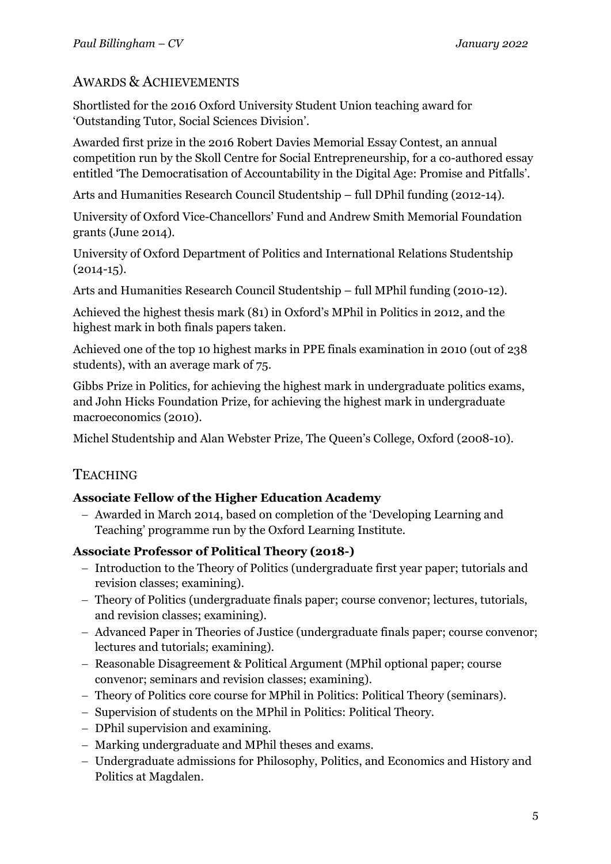# AWARDS & ACHIEVEMENTS

Shortlisted for the 2016 Oxford University Student Union teaching award for 'Outstanding Tutor, Social Sciences Division'.

Awarded first prize in the 2016 Robert Davies Memorial Essay Contest, an annual competition run by the Skoll Centre for Social Entrepreneurship, for a co-authored essay entitled 'The Democratisation of Accountability in the Digital Age: Promise and Pitfalls'.

Arts and Humanities Research Council Studentship – full DPhil funding (2012-14).

University of Oxford Vice-Chancellors' Fund and Andrew Smith Memorial Foundation grants (June 2014).

University of Oxford Department of Politics and International Relations Studentship  $(2014-15).$ 

Arts and Humanities Research Council Studentship – full MPhil funding (2010-12).

Achieved the highest thesis mark (81) in Oxford's MPhil in Politics in 2012, and the highest mark in both finals papers taken.

Achieved one of the top 10 highest marks in PPE finals examination in 2010 (out of 238 students), with an average mark of 75.

Gibbs Prize in Politics, for achieving the highest mark in undergraduate politics exams, and John Hicks Foundation Prize, for achieving the highest mark in undergraduate macroeconomics (2010).

Michel Studentship and Alan Webster Prize, The Queen's College, Oxford (2008-10).

# **TEACHING**

# **Associate Fellow of the Higher Education Academy**

- Awarded in March 2014, based on completion of the 'Developing Learning and Teaching' programme run by the Oxford Learning Institute.

# **Associate Professor of Political Theory (2018-)**

- Introduction to the Theory of Politics (undergraduate first year paper; tutorials and revision classes; examining).
- Theory of Politics (undergraduate finals paper; course convenor; lectures, tutorials, and revision classes; examining).
- Advanced Paper in Theories of Justice (undergraduate finals paper; course convenor; lectures and tutorials; examining).
- Reasonable Disagreement & Political Argument (MPhil optional paper; course convenor; seminars and revision classes; examining).
- Theory of Politics core course for MPhil in Politics: Political Theory (seminars).
- Supervision of students on the MPhil in Politics: Political Theory.
- DPhil supervision and examining.
- Marking undergraduate and MPhil theses and exams.
- Undergraduate admissions for Philosophy, Politics, and Economics and History and Politics at Magdalen.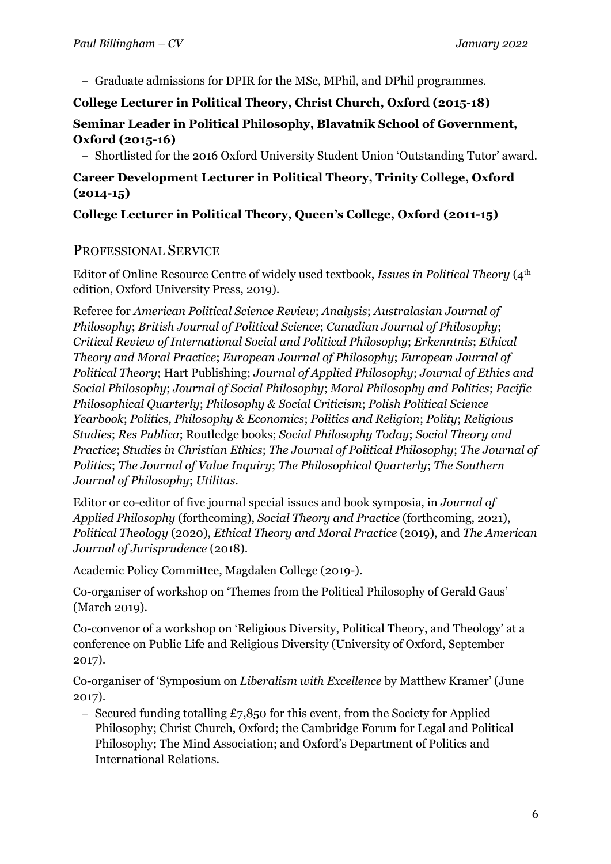- Graduate admissions for DPIR for the MSc, MPhil, and DPhil programmes.

# **College Lecturer in Political Theory, Christ Church, Oxford (2015-18)**

# **Seminar Leader in Political Philosophy, Blavatnik School of Government, Oxford (2015-16)**

- Shortlisted for the 2016 Oxford University Student Union 'Outstanding Tutor' award.

# **Career Development Lecturer in Political Theory, Trinity College, Oxford (2014-15)**

**College Lecturer in Political Theory, Queen's College, Oxford (2011-15)**

# PROFESSIONAL SERVICE

Editor of Online Resource Centre of widely used textbook, *Issues in Political Theory* (4th edition, Oxford University Press, 2019).

Referee for *American Political Science Review*; *Analysis*; *Australasian Journal of Philosophy*; *British Journal of Political Science*; *Canadian Journal of Philosophy*; *Critical Review of International Social and Political Philosophy*; *Erkenntnis*; *Ethical Theory and Moral Practice*; *European Journal of Philosophy*; *European Journal of Political Theory*; Hart Publishing; *Journal of Applied Philosophy*; *Journal of Ethics and Social Philosophy*; *Journal of Social Philosophy*; *Moral Philosophy and Politics*; *Pacific Philosophical Quarterly*; *Philosophy & Social Criticism*; *Polish Political Science Yearbook*; *Politics, Philosophy & Economics*; *Politics and Religion*; *Polity*; *Religious Studies*; *Res Publica*; Routledge books; *Social Philosophy Today*; *Social Theory and Practice*; *Studies in Christian Ethics*; *The Journal of Political Philosophy*; *The Journal of Politics*; *The Journal of Value Inquiry*; *The Philosophical Quarterly*; *The Southern Journal of Philosophy*; *Utilitas*.

Editor or co-editor of five journal special issues and book symposia, in *Journal of Applied Philosophy* (forthcoming), *Social Theory and Practice* (forthcoming, 2021), *Political Theology* (2020), *Ethical Theory and Moral Practice* (2019), and *The American Journal of Jurisprudence* (2018).

Academic Policy Committee, Magdalen College (2019-).

Co-organiser of workshop on 'Themes from the Political Philosophy of Gerald Gaus' (March 2019).

Co-convenor of a workshop on 'Religious Diversity, Political Theory, and Theology' at a conference on Public Life and Religious Diversity (University of Oxford, September 2017).

Co-organiser of 'Symposium on *Liberalism with Excellence* by Matthew Kramer' (June 2017).

- Secured funding totalling  $£7,850$  for this event, from the Society for Applied Philosophy; Christ Church, Oxford; the Cambridge Forum for Legal and Political Philosophy; The Mind Association; and Oxford's Department of Politics and International Relations.